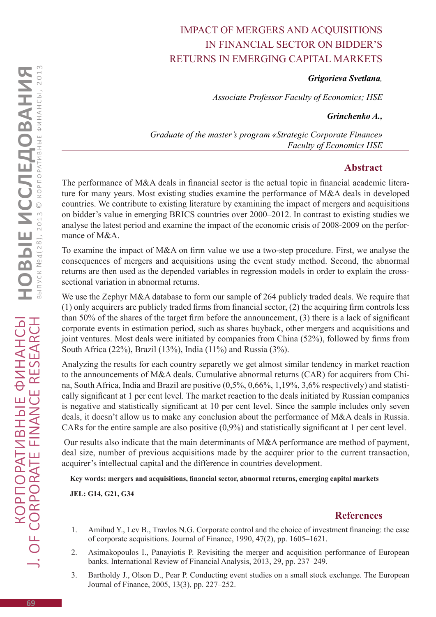## Impact of mergers and acquisitions in financial sector on bidder's returns in emerging capital markets

*Grigorieva Svetlana,*

*Associate Professor Faculty of Economics; HSE*

*Grinchenko A.,*

*Graduate of the master's program «Strategic Corporate Finance» Faculty of Economics HSE* 

## **Abstract**

The performance of M&A deals in financial sector is the actual topic in financial academic literature for many years. Most existing studies examine the performance of M&A deals in developed countries. We contribute to existing literature by examining the impact of mergers and acquisitions on bidder's value in emerging BRICS countries over 2000–2012. In contrast to existing studies we analyse the latest period and examine the impact of the economic crisis of 2008-2009 on the performance of M&A.

To examine the impact of M&A on firm value we use a two-step procedure. First, we analyse the consequences of mergers and acquisitions using the event study method. Second, the abnormal returns are then used as the depended variables in regression models in order to explain the crosssectional variation in abnormal returns.

We use the Zephyr M&A database to form our sample of 264 publicly traded deals. We require that (1) only acquirers are publicly traded firms from financial sector, (2) the acquiring firm controls less than 50% of the shares of the target firm before the announcement, (3) there is a lack of significant corporate events in estimation period, such as shares buyback, other mergers and acquisitions and joint ventures. Most deals were initiated by companies from China (52%), followed by firms from South Africa (22%), Brazil (13%), India (11%) and Russia (3%).

Analyzing the results for each country separetly we get almost similar tendency in market reaction to the announcements of M&A deals. Cumulative abnormal returns (CAR) for acquirers from China, South Africa, India and Brazil are positive (0,5%, 0,66%, 1,19%, 3,6% respectively) and statistically significant at 1 per cent level. The market reaction to the deals initiated by Russian companies is negative and statistically significant at 10 per cent level. Since the sample includes only seven deals, it doesn't allow us to make any conclusion about the performance of M&A deals in Russia. CARs for the entire sample are also positive (0,9%) and statistically significant at 1 per cent level.

Our results also indicate that the main determinants of M&A performance are method of payment, deal size, number of previous acquisitions made by the acquirer prior to the current transaction, acquirer's intellectual capital and the difference in countries development.

**Key words: mergers and acquisitions, financial sector, abnormal returns, emerging capital markets**

**JEL: G14, G21, G34**

## **References**

- 1. Amihud Y., Lev B., Travlos N.G. Corporate control and the choice of investment financing: the case of corporate acquisitions. Journal of Finance, 1990, 47(2), pp. 1605–1621.
- 2. Asimakopoulos I., Panayiotis P. Revisiting the merger and acquisition performance of European banks. International Review of Financial Analysis, 2013, 29, pp. 237–249.
- 3. Bartholdy J., Olson D., Pear P. Conducting event studies on a small stock exchange. The European Journal of Finance, 2005, 13(3), pp. 227–252.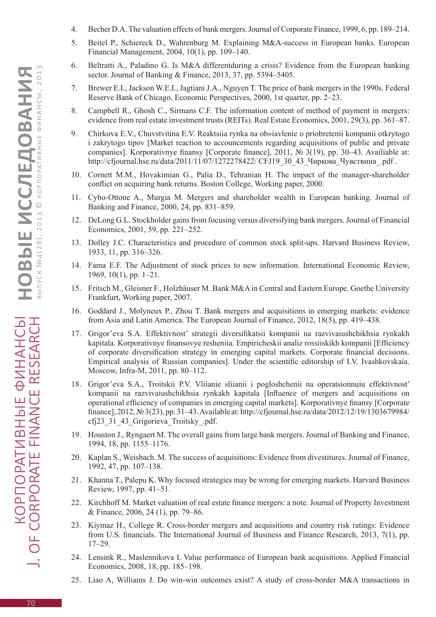- 4. Becher D.A. The valuation effects of bank mergers. Journal of Corporate Finance, 1999, 6, pp. 189–214.
- 5. Beitel P., Schiereck D., Wahrenburg M. Explaining M&A-success in European banks. European Financial Management, 2004, 10(1), pp. 109–140.
- 6. Beltratti A., Paladino G. Is M&A differentduring a crisis? Evidence from the European banking sector. Journal of Banking & Finance, 2013, 37, pp. 5394–5405.
- 7. Brewer E.I., Jackson W.E.I., Jagtiani J.A., Nguyen T. The price of bank mergers in the 1990s. Federal Reserve Bank of Chicago, Economic Perspectives, 2000, 1st quarter, pp. 2–23.
- 8. Campbell R., Ghosh C., Sirmans C.F. The information content of method of payment in mergers: evidence from real estate investment trusts (REITs). Real Estate Economics, 2001, 29(3), pp. 361–87.
- 9. Chirkova E.V., Chuvstvitina E.V. Reaktsiia rynka na ob»iavlenie o priobretenii kompanii otkrytogo i zakrytogo tipov [Market reaction to accouncements regarding acquisitions of public and private companies]. Korporativnye finansy [Corporate finance], 2011, № 3(19), pp. 30–43. Availiable at: http://cfjournal.hse.ru/data/2011/11/07/1272278422/ CFJ19\_30\_43\_Чиркова\_Чувствина\_.pdf .
- 10. Cornett M.M., Hovakimian G., Palia D., Tehranian H. The impact of the manager-shareholder conflict on acquiring bank returns. Boston College, Working paper, 2000.
- 11. Cybo-Ottone A., Murgia M. Mergers and shareholder wealth in European banking. Journal of Banking and Finance, 2000, 24, pp. 831–859.
- 12. DeLong G.L. Stockholder gains from focusing versus diversifying bank mergers. Journal of Financial Economics, 2001, 59, pp. 221–252.
- 13. Dolley J.C. Characteristics and procedure of common stock split-ups. Harvard Business Review, 1933, 11, pp. 316–326.
- 14. Fama E.F. The Adjustment of stock prices to new information. International Economic Review, 1969, 10(1), pp. 1–21.
- 15. Fritsch M., Gleisner F., Holzhäuser M. Bank M&A in Central and Eastern Europe. Goethe University Frankfurt, Working paper, 2007.
- 16. Goddard J., Molyneux P., Zhou T. Bank mergers and acquisitions in emerging markets: evidence from Asia and Latin America. The European Journal of Finance, 2012, 18(5), pp. 419–438.
- 17. Grigor'eva S.A. Effektivnost' strategii diversifikatsii kompanii na razvivaiushchikhsia rynkakh kapitala. Korporativnye finansovye resheniia. Empiricheskii analiz rossiiskikh kompanii [Efficiency of corporate diversification strategy in emerging capital markets. Corporate financial decisions. Empirical analysis of Russian companies]. Under the scientific editorship of I.V. Ivashkovskaia. Moscow, Infra-M, 2011, pp. 80–112.
- 18. Grigor'eva S.A., Troitskii P.V. Vliianie sliianii i pogloshchenii na operatsionnuiu effektivnost' kompanii na razvivaiushchikhsia rynkakh kapitala [Influence of mergers and acquisitions on operational efficiency of companies in emerging capital markets]. Korporativnye finansy [Corporate finance], 2012, № 3(23), pp. 31–43. Available at: http://cfjournal.hse.ru/data/2012/12/19/1303679984/ cfj23\_31\_43\_Grigorieva\_Troitsky\_.pdf.
- 19. Houston J., Ryngaert M. The overall gains from large bank mergers. Journal of Banking and Finance, 1994, 18, pp. 1155–1176.
- 20. Kaplan S., Weisbach. M. The success of acquisitions: Evidence from divestitures. Journal of Finance, 1992, 47, pp. 107–138.
- 21. Khanna T., Palepu K. Why focused strategies may be wrong for emerging markets. Harvard Business Review, 1997, pp. 41–51.
- 22. Kirchhoff M. Market valuation of real estate finance mergers: a note. Journal of Property Investment & Finance, 2006, 24 (1), pp. 79–86.
- 23. Kiymaz H., College R. Cross-border mergers and acquisitions and country risk ratings: Evidence from U.S. financials. The International Journal of Business and Finance Research, 2013, 7(1), pp. 17–29.
- 24. Lensink R., Maslennikova I. Value performance of European bank acquisitions. Applied Financial Economics, 2008, 18, pp. 185–198.
- 25. Liao A, Williams J. Do win-win outcomes exist? A study of cross-border M&A transactions in